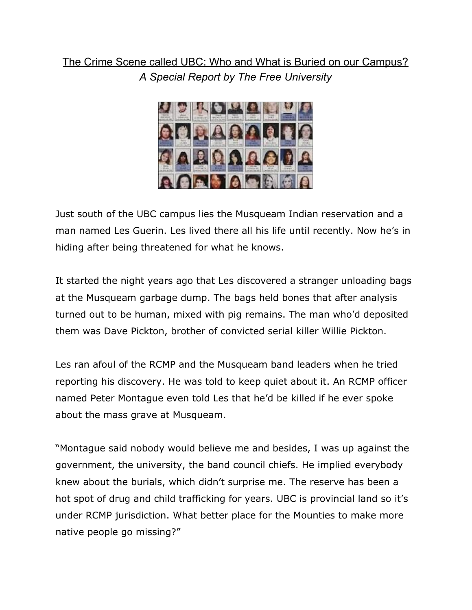## The Crime Scene called UBC: Who and What is Buried on our Campus? *A Special Report by The Free University*



Just south of the UBC campus lies the Musqueam Indian reservation and a man named Les Guerin. Les lived there all his life until recently. Now he's in hiding after being threatened for what he knows.

It started the night years ago that Les discovered a stranger unloading bags at the Musqueam garbage dump. The bags held bones that after analysis turned out to be human, mixed with pig remains. The man who'd deposited them was Dave Pickton, brother of convicted serial killer Willie Pickton.

Les ran afoul of the RCMP and the Musqueam band leaders when he tried reporting his discovery. He was told to keep quiet about it. An RCMP officer named Peter Montague even told Les that he'd be killed if he ever spoke about the mass grave at Musqueam.

"Montague said nobody would believe me and besides, I was up against the government, the university, the band council chiefs. He implied everybody knew about the burials, which didn't surprise me. The reserve has been a hot spot of drug and child trafficking for years. UBC is provincial land so it's under RCMP jurisdiction. What better place for the Mounties to make more native people go missing?"